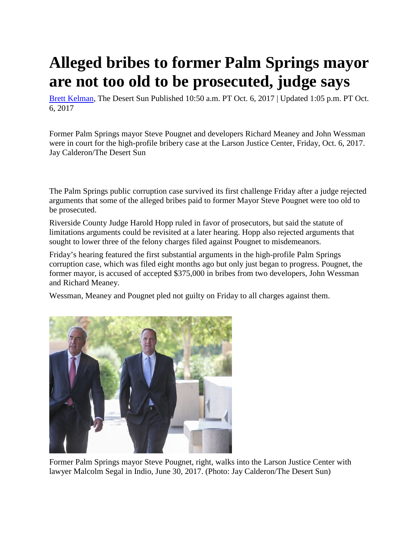## **Alleged bribes to former Palm Springs mayor are not too old to be prosecuted, judge says**

[Brett Kelman,](http://www.desertsun.com/staff/26717/brett-kelman/) The Desert Sun Published 10:50 a.m. PT Oct. 6, 2017 | Updated 1:05 p.m. PT Oct. 6, 2017

Former Palm Springs mayor Steve Pougnet and developers Richard Meaney and John Wessman were in court for the high-profile bribery case at the Larson Justice Center, Friday, Oct. 6, 2017. Jay Calderon/The Desert Sun

The Palm Springs public corruption case survived its first challenge Friday after a judge rejected arguments that some of the alleged bribes paid to former Mayor Steve Pougnet were too old to be prosecuted.

Riverside County Judge Harold Hopp ruled in favor of prosecutors, but said the statute of limitations arguments could be revisited at a later hearing. Hopp also rejected arguments that sought to lower three of the felony charges filed against Pougnet to misdemeanors.

Friday's hearing featured the first substantial arguments in the high-profile Palm Springs corruption case, which was filed eight months ago but only just began to progress. Pougnet, the former mayor, is accused of accepted \$375,000 in bribes from two developers, John Wessman and Richard Meaney.

Wessman, Meaney and Pougnet pled not guilty on Friday to all charges against them.



Former Palm Springs mayor Steve Pougnet, right, walks into the Larson Justice Center with lawyer Malcolm Segal in Indio, June 30, 2017. (Photo: Jay Calderon/The Desert Sun)